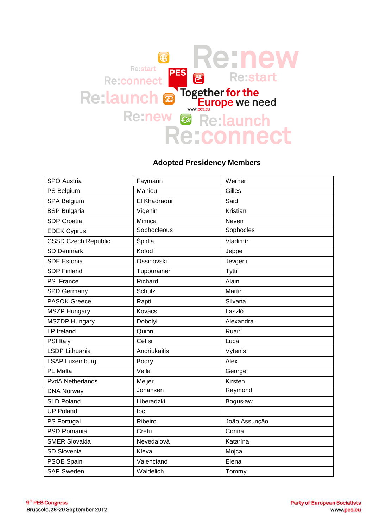

## **Adopted Presidency Members**

| SPÖ Austria                | Faymann      | Werner        |
|----------------------------|--------------|---------------|
| PS Belgium                 | Mahieu       | Gilles        |
| SPA Belgium                | El Khadraoui | Said          |
| <b>BSP Bulgaria</b>        | Vigenin      | Kristian      |
| <b>SDP Croatia</b>         | Mimica       | Neven         |
| <b>EDEK Cyprus</b>         | Sophocleous  | Sophocles     |
| <b>CSSD.Czech Republic</b> | Špidla       | Vladimír      |
| <b>SD Denmark</b>          | Kofod        | Jeppe         |
| <b>SDE Estonia</b>         | Ossinovski   | Jevgeni       |
| <b>SDP Finland</b>         | Tuppurainen  | Tytti         |
| PS France                  | Richard      | Alain         |
| <b>SPD Germany</b>         | Schulz       | Martin        |
| <b>PASOK Greece</b>        | Rapti        | Silvana       |
| <b>MSZP Hungary</b>        | Kovács       | Laszló        |
| <b>MSZDP Hungary</b>       | Dobolyi      | Alexandra     |
| LP Ireland                 | Quinn        | Ruairi        |
| <b>PSI Italy</b>           | Cefisi       | Luca          |
| LSDP Lithuania             | Andriukaitis | Vytenis       |
| <b>LSAP Luxemburg</b>      | <b>Bodry</b> | Alex          |
| <b>PL Malta</b>            | Vella        | George        |
| <b>PvdA Netherlands</b>    | Meijer       | Kirsten       |
| <b>DNA Norway</b>          | Johansen     | Raymond       |
| <b>SLD Poland</b>          | Liberadzki   | Bogusław      |
| <b>UP Poland</b>           | tbc          |               |
| PS Portugal                | Ribeiro      | João Assunção |
| PSD Romania                | Cretu        | Corina        |
| <b>SMER Slovakia</b>       | Nevedalová   | Katarína      |
| SD Slovenia                | Kleva        | Mojca         |
| PSOE Spain                 | Valenciano   | Elena         |
| <b>SAP Sweden</b>          | Waidelich    | Tommy         |